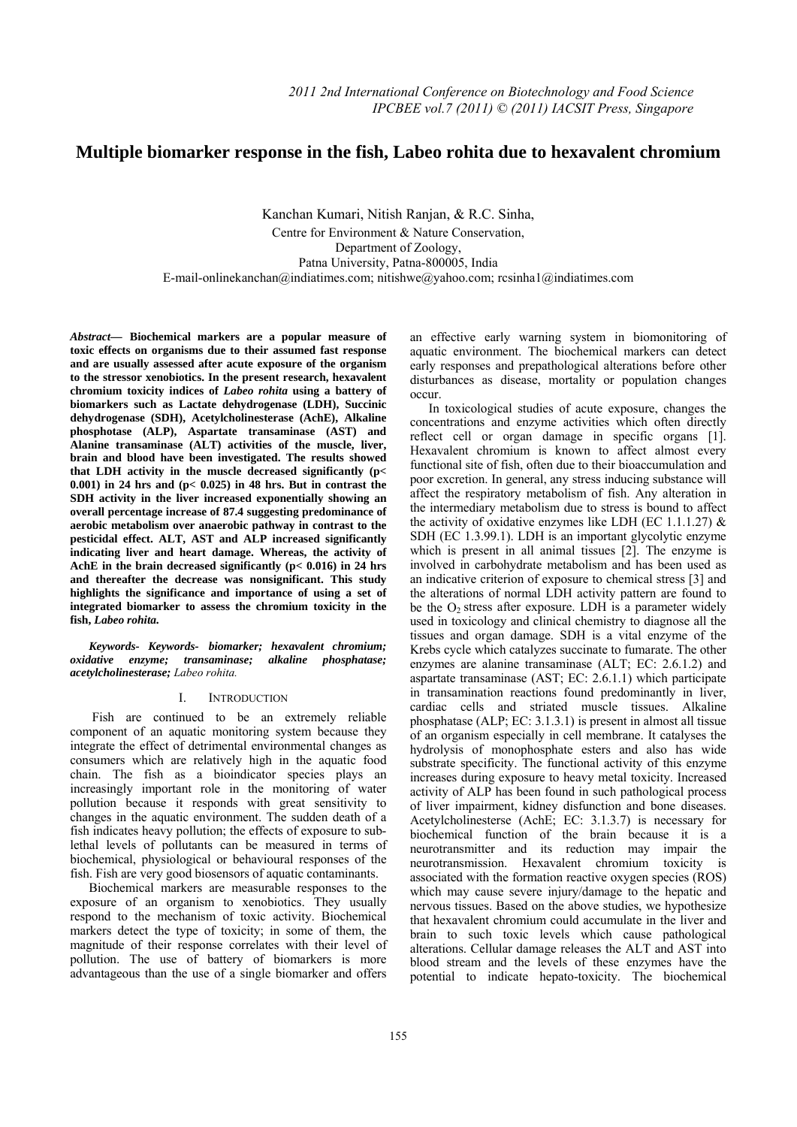# **Multiple biomarker response in the fish, Labeo rohita due to hexavalent chromium**

Kanchan Kumari, Nitish Ranjan, & R.C. Sinha, Centre for Environment & Nature Conservation, Department of Zoology, Patna University, Patna-800005, India E-mail-onlinekanchan@indiatimes.com; nitishwe@yahoo.com; rcsinha1@indiatimes.com

*Abstract***— Biochemical markers are a popular measure of toxic effects on organisms due to their assumed fast response and are usually assessed after acute exposure of the organism to the stressor xenobiotics. In the present research, hexavalent chromium toxicity indices of** *Labeo rohita* **using a battery of biomarkers such as Lactate dehydrogenase (LDH), Succinic dehydrogenase (SDH), Acetylcholinesterase (AchE), Alkaline phosphotase (ALP), Aspartate transaminase (AST) and Alanine transaminase (ALT) activities of the muscle, liver, brain and blood have been investigated. The results showed that LDH activity in the muscle decreased significantly (p< 0.001) in 24 hrs and (p< 0.025) in 48 hrs. But in contrast the SDH activity in the liver increased exponentially showing an overall percentage increase of 87.4 suggesting predominance of aerobic metabolism over anaerobic pathway in contrast to the pesticidal effect. ALT, AST and ALP increased significantly indicating liver and heart damage. Whereas, the activity of AchE in the brain decreased significantly (p< 0.016) in 24 hrs and thereafter the decrease was nonsignificant. This study highlights the significance and importance of using a set of integrated biomarker to assess the chromium toxicity in the fish,** *Labeo rohita.*

*Keywords- Keywords- biomarker; hexavalent chromium; oxidative enzyme; transaminase; alkaline phosphatase; acetylcholinesterase; Labeo rohita.* 

# I. INTRODUCTION

 Fish are continued to be an extremely reliable component of an aquatic monitoring system because they integrate the effect of detrimental environmental changes as consumers which are relatively high in the aquatic food chain. The fish as a bioindicator species plays an increasingly important role in the monitoring of water pollution because it responds with great sensitivity to changes in the aquatic environment. The sudden death of a fish indicates heavy pollution; the effects of exposure to sublethal levels of pollutants can be measured in terms of biochemical, physiological or behavioural responses of the fish. Fish are very good biosensors of aquatic contaminants.

Biochemical markers are measurable responses to the exposure of an organism to xenobiotics. They usually respond to the mechanism of toxic activity. Biochemical markers detect the type of toxicity; in some of them, the magnitude of their response correlates with their level of pollution. The use of battery of biomarkers is more advantageous than the use of a single biomarker and offers

an effective early warning system in biomonitoring of aquatic environment. The biochemical markers can detect early responses and prepathological alterations before other disturbances as disease, mortality or population changes occur.

In toxicological studies of acute exposure, changes the concentrations and enzyme activities which often directly reflect cell or organ damage in specific organs [1]. Hexavalent chromium is known to affect almost every functional site of fish, often due to their bioaccumulation and poor excretion. In general, any stress inducing substance will affect the respiratory metabolism of fish. Any alteration in the intermediary metabolism due to stress is bound to affect the activity of oxidative enzymes like LDH (EC 1.1.1.27)  $\&$ SDH (EC 1.3.99.1). LDH is an important glycolytic enzyme which is present in all animal tissues [2]. The enzyme is involved in carbohydrate metabolism and has been used as an indicative criterion of exposure to chemical stress [3] and the alterations of normal LDH activity pattern are found to be the  $O<sub>2</sub>$  stress after exposure. LDH is a parameter widely used in toxicology and clinical chemistry to diagnose all the tissues and organ damage. SDH is a vital enzyme of the Krebs cycle which catalyzes succinate to fumarate. The other enzymes are alanine transaminase (ALT; EC: 2.6.1.2) and aspartate transaminase (AST; EC: 2.6.1.1) which participate in transamination reactions found predominantly in liver, cardiac cells and striated muscle tissues. Alkaline phosphatase (ALP; EC: 3.1.3.1) is present in almost all tissue of an organism especially in cell membrane. It catalyses the hydrolysis of monophosphate esters and also has wide substrate specificity. The functional activity of this enzyme increases during exposure to heavy metal toxicity. Increased activity of ALP has been found in such pathological process of liver impairment, kidney disfunction and bone diseases. Acetylcholinesterse (AchE; EC: 3.1.3.7) is necessary for biochemical function of the brain because it is a neurotransmitter and its reduction may impair the neurotransmission. Hexavalent chromium toxicity is associated with the formation reactive oxygen species (ROS) which may cause severe injury/damage to the hepatic and nervous tissues. Based on the above studies, we hypothesize that hexavalent chromium could accumulate in the liver and brain to such toxic levels which cause pathological alterations. Cellular damage releases the ALT and AST into blood stream and the levels of these enzymes have the potential to indicate hepato-toxicity. The biochemical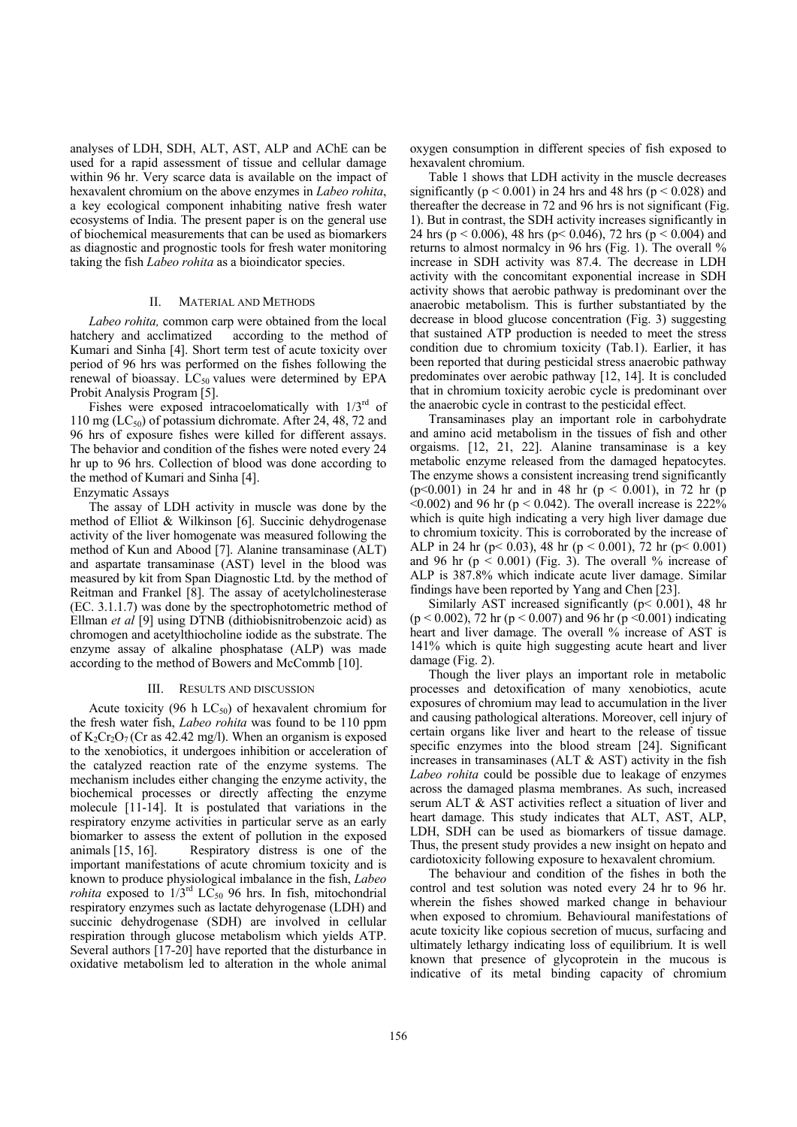analyses of LDH, SDH, ALT, AST, ALP and AChE can be used for a rapid assessment of tissue and cellular damage within 96 hr. Very scarce data is available on the impact of hexavalent chromium on the above enzymes in *Labeo rohita*, a key ecological component inhabiting native fresh water ecosystems of India. The present paper is on the general use of biochemical measurements that can be used as biomarkers as diagnostic and prognostic tools for fresh water monitoring taking the fish *Labeo rohita* as a bioindicator species.

## II. MATERIAL AND METHODS

*Labeo rohita,* common carp were obtained from the local hatchery and acclimatized according to the method of Kumari and Sinha [4]. Short term test of acute toxicity over period of 96 hrs was performed on the fishes following the renewal of bioassay.  $LC_{50}$  values were determined by EPA Probit Analysis Program [5].

Fishes were exposed intracoelomatically with  $1/3<sup>rd</sup>$  of 110 mg ( $LC_{50}$ ) of potassium dichromate. After 24, 48, 72 and 96 hrs of exposure fishes were killed for different assays. The behavior and condition of the fishes were noted every 24 hr up to 96 hrs. Collection of blood was done according to the method of Kumari and Sinha [4].

# Enzymatic Assays

The assay of LDH activity in muscle was done by the method of Elliot & Wilkinson [6]. Succinic dehydrogenase activity of the liver homogenate was measured following the method of Kun and Abood [7]. Alanine transaminase (ALT) and aspartate transaminase (AST) level in the blood was measured by kit from Span Diagnostic Ltd. by the method of Reitman and Frankel [8]. The assay of acetylcholinesterase (EC. 3.1.1.7) was done by the spectrophotometric method of Ellman et al [9] using DTNB (dithiobisnitrobenzoic acid) as chromogen and acetylthiocholine iodide as the substrate. The enzyme assay of alkaline phosphatase (ALP) was made according to the method of Bowers and McCommb [10].

### III. RESULTS AND DISCUSSION

Acute toxicity (96 h  $LC_{50}$ ) of hexavalent chromium for the fresh water fish, *Labeo rohita* was found to be 110 ppm of  $K_2Cr_2O_7$  (Cr as 42.42 mg/l). When an organism is exposed to the xenobiotics, it undergoes inhibition or acceleration of the catalyzed reaction rate of the enzyme systems. The mechanism includes either changing the enzyme activity, the biochemical processes or directly affecting the enzyme molecule [11-14]. It is postulated that variations in the respiratory enzyme activities in particular serve as an early biomarker to assess the extent of pollution in the exposed animals [15, 16]. Respiratory distress is one of the important manifestations of acute chromium toxicity and is known to produce physiological imbalance in the fish, *Labeo rohita* exposed to  $1/3^{rd}$  LC<sub>50</sub> 96 hrs. In fish, mitochondrial respiratory enzymes such as lactate dehyrogenase (LDH) and succinic dehydrogenase (SDH) are involved in cellular respiration through glucose metabolism which yields ATP. Several authors [17-20] have reported that the disturbance in oxidative metabolism led to alteration in the whole animal

oxygen consumption in different species of fish exposed to hexavalent chromium.

Table 1 shows that LDH activity in the muscle decreases significantly ( $p < 0.001$ ) in 24 hrs and 48 hrs ( $p < 0.028$ ) and thereafter the decrease in 72 and 96 hrs is not significant (Fig. 1). But in contrast, the SDH activity increases significantly in 24 hrs ( $p < 0.006$ ), 48 hrs ( $p < 0.046$ ), 72 hrs ( $p < 0.004$ ) and returns to almost normalcy in 96 hrs (Fig. 1). The overall % increase in SDH activity was 87.4. The decrease in LDH activity with the concomitant exponential increase in SDH activity shows that aerobic pathway is predominant over the anaerobic metabolism. This is further substantiated by the decrease in blood glucose concentration (Fig. 3) suggesting that sustained ATP production is needed to meet the stress condition due to chromium toxicity (Tab.1). Earlier, it has been reported that during pesticidal stress anaerobic pathway predominates over aerobic pathway [12, 14]. It is concluded that in chromium toxicity aerobic cycle is predominant over the anaerobic cycle in contrast to the pesticidal effect.

Transaminases play an important role in carbohydrate and amino acid metabolism in the tissues of fish and other orgaisms. [12, 21, 22]. Alanine transaminase is a key metabolic enzyme released from the damaged hepatocytes. The enzyme shows a consistent increasing trend significantly (p<0.001) in 24 hr and in 48 hr (p < 0.001), in 72 hr (p  $\leq 0.002$ ) and 96 hr (p  $\leq 0.042$ ). The overall increase is 222% which is quite high indicating a very high liver damage due to chromium toxicity. This is corroborated by the increase of ALP in 24 hr (p < 0.03), 48 hr (p < 0.001), 72 hr (p < 0.001) and 96 hr  $(p < 0.001)$  (Fig. 3). The overall % increase of ALP is 387.8% which indicate acute liver damage. Similar findings have been reported by Yang and Chen [23].

Similarly AST increased significantly (p< 0.001), 48 hr  $(p < 0.002)$ , 72 hr  $(p < 0.007)$  and 96 hr  $(p < 0.001)$  indicating heart and liver damage. The overall % increase of AST is 141% which is quite high suggesting acute heart and liver damage (Fig. 2).

Though the liver plays an important role in metabolic processes and detoxification of many xenobiotics, acute exposures of chromium may lead to accumulation in the liver and causing pathological alterations. Moreover, cell injury of certain organs like liver and heart to the release of tissue specific enzymes into the blood stream [24]. Significant increases in transaminases (ALT  $\&$  AST) activity in the fish *Labeo rohita* could be possible due to leakage of enzymes across the damaged plasma membranes. As such, increased serum ALT & AST activities reflect a situation of liver and heart damage. This study indicates that ALT, AST, ALP, LDH, SDH can be used as biomarkers of tissue damage. Thus, the present study provides a new insight on hepato and cardiotoxicity following exposure to hexavalent chromium.

The behaviour and condition of the fishes in both the control and test solution was noted every 24 hr to 96 hr. wherein the fishes showed marked change in behaviour when exposed to chromium. Behavioural manifestations of acute toxicity like copious secretion of mucus, surfacing and ultimately lethargy indicating loss of equilibrium. It is well known that presence of glycoprotein in the mucous is indicative of its metal binding capacity of chromium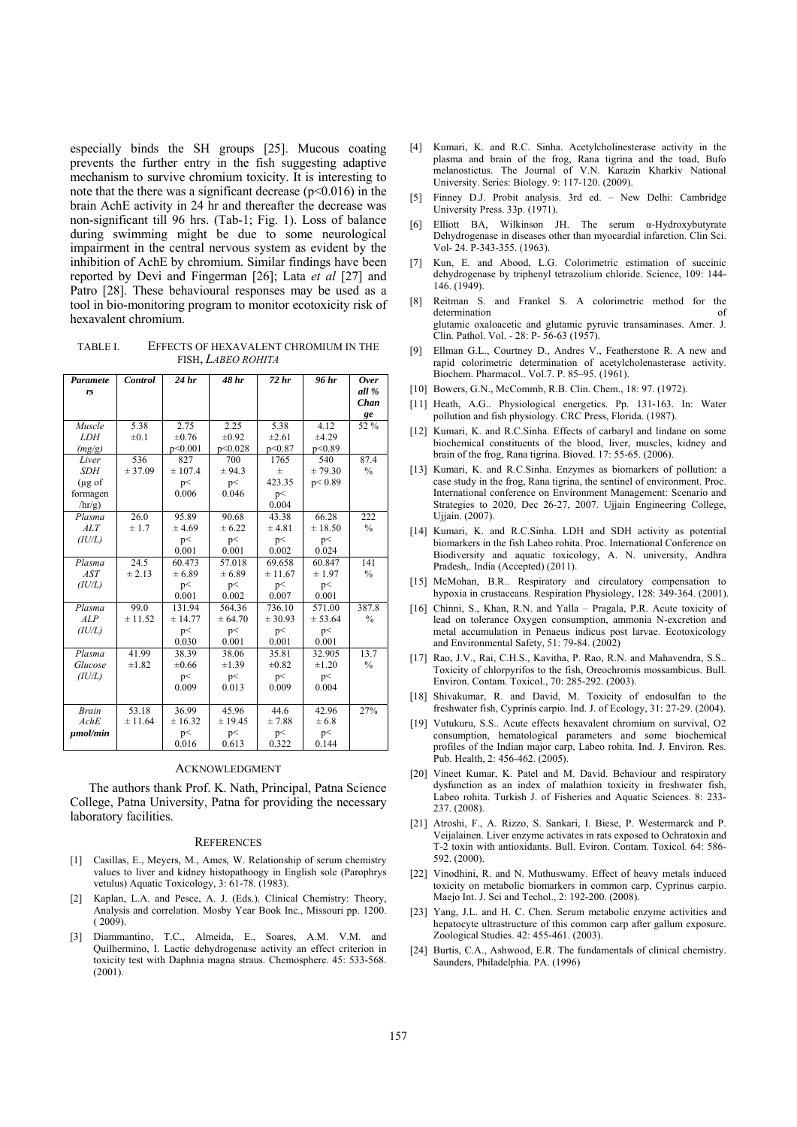especially binds the SH groups [25]. Mucous coating prevents the further entry in the fish suggesting adaptive mechanism to survive chromium toxicity. It is interesting to note that the there was a significant decrease  $(p<0.016)$  in the brain AchE activity in 24 hr and thereafter the decrease was non-significant till 96 hrs. (Tab-1; Fig. 1). Loss of balance during swimming might be due to some neurological impairment in the central nervous system as evident by the inhibition of AchE by chromium. Similar findings have been reported by Devi and Fingerman [26]; Lata *et al* [27] and Patro [28]. These behavioural responses may be used as a tool in bio-monitoring program to monitor ecotoxicity risk of hexavalent chromium.

TABLE I. EFFECTS OF HEXAVALENT CHROMIUM IN THE FISH, *LABEO ROHITA*

| Paramete      | Control   | 24 <sub>hr</sub> | 48 hr      | 72 hr      | 96 hr      | <b>Over</b>   |
|---------------|-----------|------------------|------------|------------|------------|---------------|
| rs            |           |                  |            |            |            | all %         |
|               |           |                  |            |            |            | Chan          |
|               |           |                  |            |            |            | ge            |
| Muscle        | 5.38      | 2.75             | 2.25       | 5.38       | 4.12       | 52 %          |
| <b>LDH</b>    | $\pm 0.1$ | $\pm 0.76$       | $\pm 0.92$ | $\pm 2.61$ | ±4.29      |               |
| (mg/g)        |           | p<0.001          | p<0.028    | p<0.87     | p<0.89     |               |
| Liver         | 536       | 827              | 700        | 1765       | 540        | 87.4          |
| <i>SDH</i>    | ± 37.09   | ± 107.4          | ± 94.3     | $\pm$      | ± 79.30    | $\%$          |
| $(\mu$ g of   |           | p<               | p<         | 423.35     | p < 0.89   |               |
| formagen      |           | 0.006            | 0.046      | p<         |            |               |
| $\ln r/g$ )   |           |                  |            | 0.004      |            |               |
| Plasma        | 26.0      | 95.89            | 90.68      | 43.38      | 66.28      | 222           |
| ALT           | ± 1.7     | ± 4.69           | ± 6.22     | ± 4.81     | ± 18.50    | $\frac{0}{0}$ |
| (IU/L)        |           | p<               | p<         | p<         | p<         |               |
|               |           | 0.001            | 0.001      | 0.002      | 0.024      |               |
| Plasma        | 24.5      | 60.473           | 57.018     | 69.658     | 60.847     | 141           |
| AST           | ± 2.13    | ± 6.89           | ± 6.89     | ± 11.67    | ± 1.97     | $\%$          |
| (IU/L)        |           | p<               | p<         | p<         | p<         |               |
|               |           | 0.001            | 0.002      | 0.007      | 0.001      |               |
| Plasma        | 99.0      | 131.94           | 564.36     | 736.10     | 571.00     | 387.8         |
| ALP           | ± 11.52   | ± 14.77          | ± 64.70    | ± 30.93    | ± 53.64    | $\frac{0}{0}$ |
| (IU/L)        |           | p<               | p<         | p<         | p<         |               |
|               |           | 0.030            | 0.001      | 0.001      | 0.001      |               |
| Plasma        | 41.99     | 38.39            | 38.06      | 35.81      | 32.905     | 13.7          |
| Glucose       | ±1.82     | $\pm 0.66$       | ±1.39      | $\pm 0.82$ | $\pm 1.20$ | $\frac{0}{0}$ |
| (IU/L)        |           | p<               | p<         | p<         | p<         |               |
|               |           | 0.009            | 0.013      | 0.009      | 0.004      |               |
|               |           |                  |            |            |            |               |
| <b>Brain</b>  | 53.18     | 36.99            | 45.96      | 44.6       | 42.96      | 27%           |
| AchE          | ± 11.64   | ± 16.32          | ± 19.45    | ± 7.88     | ± 6.8      |               |
| $\mu$ mol/min |           | p<               | p<         | p<         | p<         |               |
|               |           | 0.016            | 0.613      | 0.322      | 0.144      |               |

#### ACKNOWLEDGMENT

The authors thank Prof. K. Nath, Principal, Patna Science College, Patna University, Patna for providing the necessary laboratory facilities.

## **REFERENCES**

- [1] Casillas, E., Meyers, M., Ames, W. Relationship of serum chemistry values to liver and kidney histopathoogy in English sole (Parophrys vetulus) Aquatic Toxicology, 3: 61-78. (1983).
- [2] Kaplan, L.A. and Pesce, A. J. (Eds.). Clinical Chemistry: Theory, Analysis and correlation. Mosby Year Book Inc., Missouri pp. 1200. ( 2009).
- [3] Diammantino, T.C., Almeida, E., Soares, A.M. V.M. and Quilhermino, I. Lactic dehydrogenase activity an effect criterion in toxicity test with Daphnia magna straus. Chemosphere. 45: 533-568. (2001).
- [4] Kumari, K. and R.C. Sinha. Acetylcholinesterase activity in the plasma and brain of the frog, Rana tigrina and the toad, Bufo melanostictus. The Journal of V.N. Karazin Kharkiv National University. Series: Biology. 9: 117-120. (2009).
- [5] Finney D.J. Probit analysis. 3rd ed. New Delhi: Cambridge University Press. 33p. (1971).
- [6] Elliott BA, Wilkinson JH. The serum α-Hydroxybutyrate Dehydrogenase in diseases other than myocardial infarction. Clin Sci. Vol- 24. P-343-355. (1963).
- [7] Kun, E. and Abood, L.G. Colorimetric estimation of succinic dehydrogenase by triphenyl tetrazolium chloride. Science, 109: 144- 146. (1949).
- [8] Reitman S. and Frankel S. A colorimetric method for the determination of glutamic oxaloacetic and glutamic pyruvic transaminases. Amer. J. Clin. Pathol. Vol. - 28: P- 56-63 (1957).
- [9] Ellman G.L., Courtney D., Andres V., Featherstone R. A new and rapid colorimetric determination of acetylcholenasterase activity. Biochem. Pharmacol.. Vol.7. P. 85–95. (1961).
- [10] Bowers, G.N., McCommb, R.B. Clin. Chem., 18: 97. (1972).
- [11] Heath, A.G.. Physiological energetics. Pp. 131-163. In: Water pollution and fish physiology. CRC Press, Florida. (1987).
- [12] Kumari, K. and R.C.Sinha. Effects of carbaryl and lindane on some biochemical constituents of the blood, liver, muscles, kidney and brain of the frog, Rana tigrina. Bioved. 17: 55-65. (2006).
- [13] Kumari, K. and R.C.Sinha. Enzymes as biomarkers of pollution: a case study in the frog, Rana tigrina, the sentinel of environment. Proc. International conference on Environment Management: Scenario and Strategies to 2020, Dec 26-27, 2007. Ujjain Engineering College, Ujjain. (2007).
- [14] Kumari, K. and R.C.Sinha. LDH and SDH activity as potential biomarkers in the fish Labeo rohita. Proc. International Conference on Biodiversity and aquatic toxicology, A. N. university, Andhra Pradesh,. India (Accepted) (2011).
- [15] McMohan, B.R.. Respiratory and circulatory compensation to hypoxia in crustaceans. Respiration Physiology, 128: 349-364. (2001).
- [16] Chinni, S., Khan, R.N. and Yalla Pragala, P.R. Acute toxicity of lead on tolerance Oxygen consumption, ammonia N-excretion and metal accumulation in Penaeus indicus post larvae. Ecotoxicology and Environmental Safety, 51: 79-84. (2002)
- [17] Rao, J.V., Rai, C.H.S., Kavitha, P. Rao, R.N. and Mahavendra, S.S.. Toxicity of chlorpyrifos to the fish, Oreochromis mossambicus. Bull. Environ. Contam. Toxicol., 70: 285-292. (2003).
- [18] Shivakumar, R. and David, M. Toxicity of endosulfan to the freshwater fish, Cyprinis carpio. Ind. J. of Ecology, 31: 27-29. (2004).
- [19] Vutukuru, S.S.. Acute effects hexavalent chromium on survival, O2 consumption, hematological parameters and some biochemical profiles of the Indian major carp, Labeo rohita. Ind. J. Environ. Res. Pub. Health, 2: 456-462. (2005).
- [20] Vineet Kumar, K. Patel and M. David. Behaviour and respiratory dysfunction as an index of malathion toxicity in freshwater fish, Labeo rohita. Turkish J. of Fisheries and Aquatic Sciences. 8: 233- 237. (2008).
- [21] Atroshi, F., A. Rizzo, S. Sankari, I. Biese, P. Westermarck and P. Veijalainen. Liver enzyme activates in rats exposed to Ochratoxin and T-2 toxin with antioxidants. Bull. Eviron. Contam. Toxicol. 64: 586- 592. (2000).
- [22] Vinodhini, R. and N. Muthuswamy. Effect of heavy metals induced toxicity on metabolic biomarkers in common carp, Cyprinus carpio. Maejo Int. J. Sci and Techol., 2: 192-200. (2008).
- [23] Yang, J.L. and H. C. Chen. Serum metabolic enzyme activities and hepatocyte ultrastructure of this common carp after gallum exposure. Zoological Studies. 42: 455-461. (2003).
- [24] Burtis, C.A., Ashwood, E.R. The fundamentals of clinical chemistry. Saunders, Philadelphia. PA. (1996)